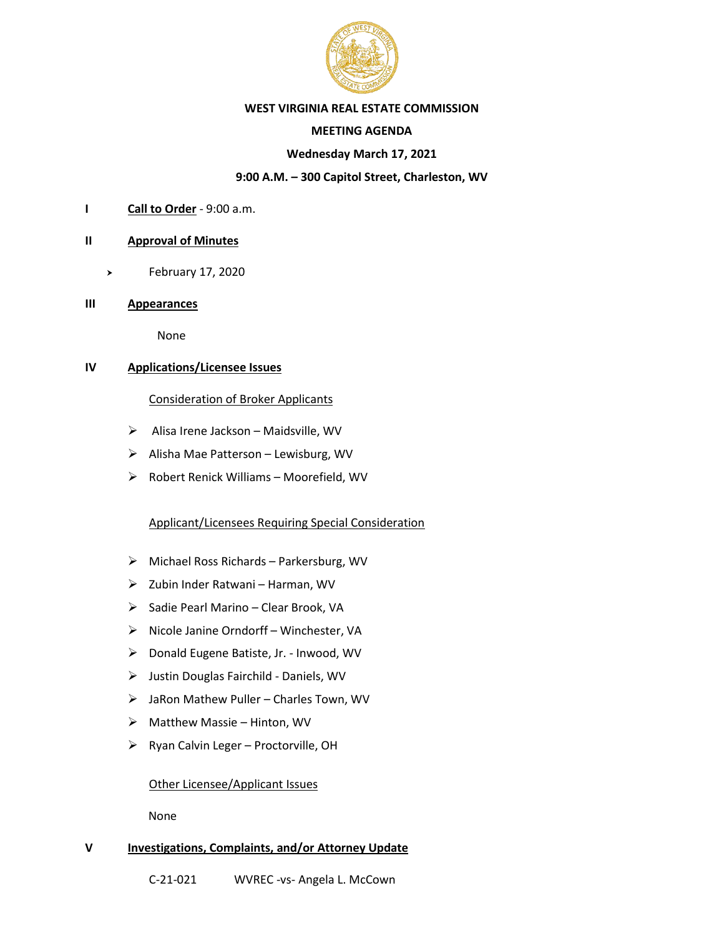

#### **WEST VIRGINIA REAL ESTATE COMMISSION**

## **MEETING AGENDA**

## **Wednesday March 17, 2021**

## **9:00 A.M. – 300 Capitol Street, Charleston, WV**

**I Call to Order** - 9:00 a.m.

#### **II Approval of Minutes**

- February 17, 2020
- **III Appearances**

None

# **IV Applications/Licensee Issues**

#### Consideration of Broker Applicants

- ➢ Alisa Irene Jackson Maidsville, WV
- ➢ Alisha Mae Patterson Lewisburg, WV
- $\triangleright$  Robert Renick Williams Moorefield, WV

# Applicant/Licensees Requiring Special Consideration

- ➢ Michael Ross Richards Parkersburg, WV
- ➢ Zubin Inder Ratwani Harman, WV
- ➢ Sadie Pearl Marino Clear Brook, VA
- ➢ Nicole Janine Orndorff Winchester, VA
- ➢ Donald Eugene Batiste, Jr. Inwood, WV
- ➢ Justin Douglas Fairchild Daniels, WV
- ➢ JaRon Mathew Puller Charles Town, WV
- ➢ Matthew Massie Hinton, WV
- $\triangleright$  Ryan Calvin Leger Proctorville, OH

#### Other Licensee/Applicant Issues

None

# **V Investigations, Complaints, and/or Attorney Update**

C-21-021 WVREC -vs- Angela L. McCown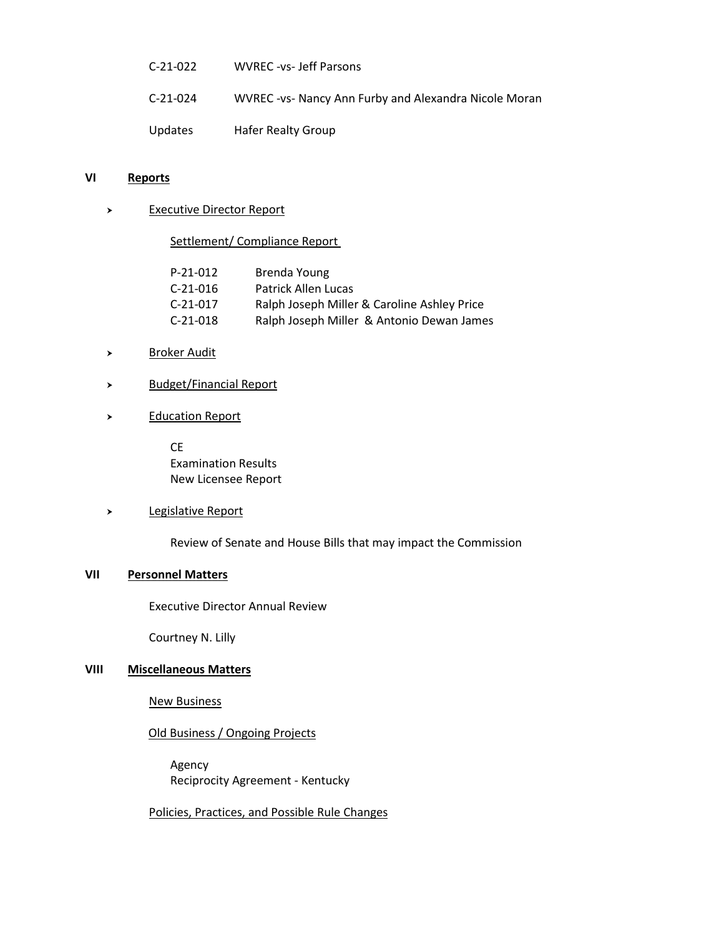| $C-21-022$ | WVREC -vs- Jeff Parsons                              |
|------------|------------------------------------------------------|
| $C-21-024$ | WVREC-vs- Nancy Ann Furby and Alexandra Nicole Moran |
| Updates    | Hafer Realty Group                                   |

#### **VI Reports**

> Executive Director Report

Settlement/ Compliance Report

| P-21-012 | Brenda Young                                |
|----------|---------------------------------------------|
| C-21-016 | Patrick Allen Lucas                         |
| C-21-017 | Ralph Joseph Miller & Caroline Ashley Price |
| C-21-018 | Ralph Joseph Miller & Antonio Dewan James   |

- > Broker Audit
- > Budget/Financial Report
- > Education Report

CE Examination Results New Licensee Report

#### > Legislative Report

Review of Senate and House Bills that may impact the Commission

## **VII Personnel Matters**

Executive Director Annual Review

Courtney N. Lilly

#### **VIII Miscellaneous Matters**

New Business

# Old Business / Ongoing Projects

 Agency Reciprocity Agreement - Kentucky

Policies, Practices, and Possible Rule Changes